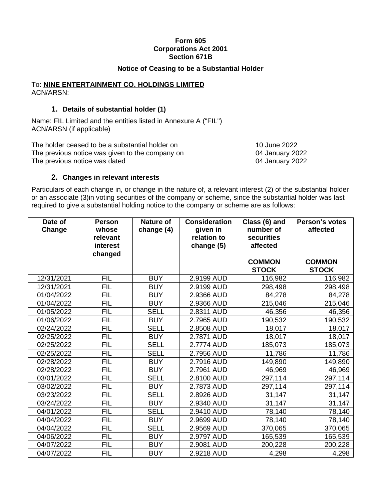### **Form 605 Corporations Act 2001 Section 671B**

### **Notice of Ceasing to be a Substantial Holder**

#### To: **NINE ENTERTAINMENT CO. HOLDINGS LIMITED** ACN/ARSN:

# **1. Details of substantial holder (1)**

Name: FIL Limited and the entities listed in Annexure A ("FIL") ACN/ARSN (if applicable)

The holder ceased to be a substantial holder on 10 June 2022 The previous notice was given to the company on 04 January 2022 The previous notice was dated 04 January 2022

# **2. Changes in relevant interests**

Particulars of each change in, or change in the nature of, a relevant interest (2) of the substantial holder or an associate (3)in voting securities of the company or scheme, since the substantial holder was last required to give a substantial holding notice to the company or scheme are as follows:

| Date of<br>Change | <b>Person</b><br>whose<br>relevant<br>interest | Nature of<br>change (4) | <b>Consideration</b><br>given in<br>relation to<br>change (5) | Class (6) and<br>number of<br>securities<br>affected | Person's votes<br>affected    |
|-------------------|------------------------------------------------|-------------------------|---------------------------------------------------------------|------------------------------------------------------|-------------------------------|
|                   | changed                                        |                         |                                                               |                                                      |                               |
|                   |                                                |                         |                                                               | <b>COMMON</b><br><b>STOCK</b>                        | <b>COMMON</b><br><b>STOCK</b> |
| 12/31/2021        | <b>FIL</b>                                     | <b>BUY</b>              | 2.9199 AUD                                                    | 116,982                                              | 116,982                       |
| 12/31/2021        | <b>FIL</b>                                     | <b>BUY</b>              | 2.9199 AUD                                                    | 298,498                                              | 298,498                       |
| 01/04/2022        | <b>FIL</b>                                     | <b>BUY</b>              | 2.9366 AUD                                                    | 84,278                                               | 84,278                        |
| 01/04/2022        | <b>FIL</b>                                     | <b>BUY</b>              | 2.9366 AUD                                                    | 215,046                                              | 215,046                       |
| 01/05/2022        | <b>FIL</b>                                     | <b>SELL</b>             | 2.8311 AUD                                                    | 46,356                                               | 46,356                        |
| 01/06/2022        | <b>FIL</b>                                     | <b>BUY</b>              | 2.7965 AUD                                                    | 190,532                                              | 190,532                       |
| 02/24/2022        | <b>FIL</b>                                     | <b>SELL</b>             | 2.8508 AUD                                                    | 18,017                                               | 18,017                        |
| 02/25/2022        | <b>FIL</b>                                     | <b>BUY</b>              | 2.7871 AUD                                                    | 18,017                                               | 18,017                        |
| 02/25/2022        | <b>FIL</b>                                     | <b>SELL</b>             | 2.7774 AUD                                                    | 185,073                                              | 185,073                       |
| 02/25/2022        | FIL                                            | <b>SELL</b>             | 2.7956 AUD                                                    | 11,786                                               | 11,786                        |
| 02/28/2022        | <b>FIL</b>                                     | <b>BUY</b>              | 2.7916 AUD                                                    | 149,890                                              | 149,890                       |
| 02/28/2022        | <b>FIL</b>                                     | <b>BUY</b>              | 2.7961 AUD                                                    | 46,969                                               | 46,969                        |
| 03/01/2022        | <b>FIL</b>                                     | <b>SELL</b>             | 2.8100 AUD                                                    | 297,114                                              | 297,114                       |
| 03/02/2022        | <b>FIL</b>                                     | <b>BUY</b>              | 2.7873 AUD                                                    | 297,114                                              | 297,114                       |
| 03/23/2022        | <b>FIL</b>                                     | <b>SELL</b>             | 2.8926 AUD                                                    | 31,147                                               | 31,147                        |
| 03/24/2022        | FIL                                            | <b>BUY</b>              | 2.9340 AUD                                                    | 31,147                                               | 31,147                        |
| 04/01/2022        | <b>FIL</b>                                     | <b>SELL</b>             | 2.9410 AUD                                                    | 78,140                                               | 78,140                        |
| 04/04/2022        | <b>FIL</b>                                     | <b>BUY</b>              | 2.9699 AUD                                                    | 78,140                                               | 78,140                        |
| 04/04/2022        | <b>FIL</b>                                     | <b>SELL</b>             | 2.9569 AUD                                                    | 370,065                                              | 370,065                       |
| 04/06/2022        | <b>FIL</b>                                     | <b>BUY</b>              | 2.9797 AUD                                                    | 165,539                                              | 165,539                       |
| 04/07/2022        | <b>FIL</b>                                     | <b>BUY</b>              | 2.9081 AUD                                                    | 200,228                                              | 200,228                       |
| 04/07/2022        | <b>FIL</b>                                     | <b>BUY</b>              | 2.9218 AUD                                                    | 4,298                                                | 4,298                         |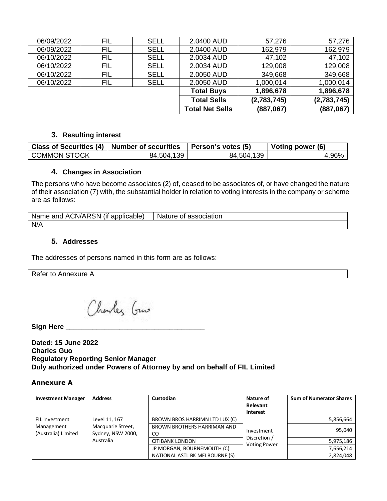| 06/09/2022 | FIL | <b>SELL</b> | 2.0400 AUD             | 57,276      | 57,276      |
|------------|-----|-------------|------------------------|-------------|-------------|
| 06/09/2022 | FIL | <b>SELL</b> | 2.0400 AUD             | 162,979     | 162,979     |
| 06/10/2022 | FIL | <b>SELL</b> | 2.0034 AUD             | 47,102      | 47,102      |
| 06/10/2022 | FIL | <b>SELL</b> | 2.0034 AUD             | 129,008     | 129,008     |
| 06/10/2022 | FIL | <b>SELL</b> | 2.0050 AUD             | 349,668     | 349,668     |
| 06/10/2022 | FIL | <b>SELL</b> | 2.0050 AUD             | 1,000,014   | 1,000,014   |
|            |     |             | <b>Total Buys</b>      | 1,896,678   | 1,896,678   |
|            |     |             | <b>Total Sells</b>     | (2,783,745) | (2,783,745) |
|            |     |             | <b>Total Net Sells</b> | (887,067)   | (887,067)   |

#### **3. Resulting interest**

|                     | Class of Securities (4)   Number of securities   Person's votes (5) |            | Voting power (6) |
|---------------------|---------------------------------------------------------------------|------------|------------------|
| <b>COMMON STOCK</b> | 84,504,139                                                          | 84,504,139 | 4.96%            |

# **4. Changes in Association**

The persons who have become associates (2) of, ceased to be associates of, or have changed the nature of their association (7) with, the substantial holder in relation to voting interests in the company or scheme are as follows:

| Name and ACN/ARSN (if applicable) | Nature of association |
|-----------------------------------|-----------------------|
| N/A                               |                       |

# **5. Addresses**

The addresses of persons named in this form are as follows:

Refer to Annexure A

Charles Guns

**Sign Here \_\_\_\_\_\_\_\_\_\_\_\_\_\_\_\_\_\_\_\_\_\_\_\_\_\_\_\_\_\_\_\_\_\_\_\_**

**Dated: 15 June 2022 Charles Guo Regulatory Reporting Senior Manager Duly authorized under Powers of Attorney by and on behalf of FIL Limited**

#### **Annexure A**

| <b>Investment Manager</b>         | <b>Address</b>                         | Custodian                          | Nature of<br>Relevant<br>Interest   | <b>Sum of Numerator Shares</b> |
|-----------------------------------|----------------------------------------|------------------------------------|-------------------------------------|--------------------------------|
| FIL Investment                    | Level 11, 167                          | BROWN BROS HARRIMN LTD LUX (C)     | Investment                          | 5,856,664                      |
| Management<br>(Australia) Limited | Macquarie Street,<br>Sydney, NSW 2000, | BROWN BROTHERS HARRIMAN AND<br>CO. |                                     | 95,040                         |
|                                   | Australia                              | <b>CITIBANK LONDON</b>             | Discretion /<br><b>Voting Power</b> | 5,975,186                      |
|                                   |                                        | JP MORGAN, BOURNEMOUTH (C)         |                                     | 7,656,214                      |
|                                   |                                        | NATIONAL ASTL BK MELBOURNE (S)     |                                     | 2,824,048                      |